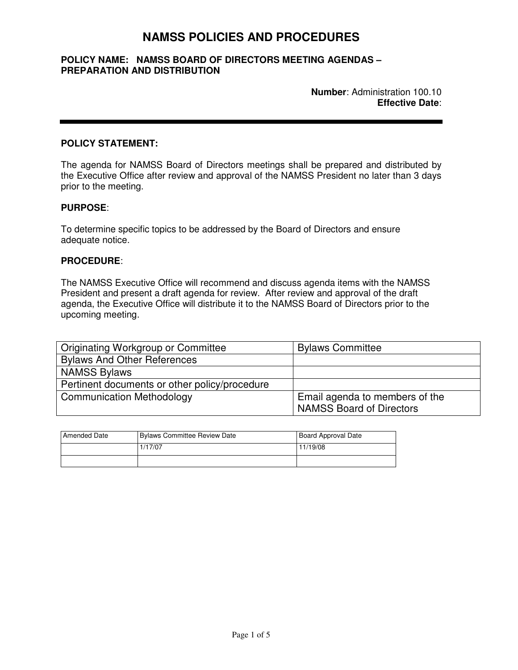# **NAMSS POLICIES AND PROCEDURES**

# **POLICY NAME: NAMSS BOARD OF DIRECTORS MEETING AGENDAS – PREPARATION AND DISTRIBUTION**

## **POLICY STATEMENT:**

The agenda for NAMSS Board of Directors meetings shall be prepared and distributed by the Executive Office after review and approval of the NAMSS President no later than 3 days prior to the meeting.

# **PURPOSE**:

To determine specific topics to be addressed by the Board of Directors and ensure adequate notice.

# **PROCEDURE**:

The NAMSS Executive Office will recommend and discuss agenda items with the NAMSS President and present a draft agenda for review. After review and approval of the draft agenda, the Executive Office will distribute it to the NAMSS Board of Directors prior to the upcoming meeting.

| <b>Originating Workgroup or Committee</b>     | <b>Bylaws Committee</b>         |
|-----------------------------------------------|---------------------------------|
| <b>Bylaws And Other References</b>            |                                 |
| <b>NAMSS Bylaws</b>                           |                                 |
| Pertinent documents or other policy/procedure |                                 |
| <b>Communication Methodology</b>              | Email agenda to members of the  |
|                                               | <b>NAMSS Board of Directors</b> |

| <b>Amended Date</b> | Bylaws Committee Review Date | Board Approval Date |
|---------------------|------------------------------|---------------------|
|                     | 1/17/07                      | 11/19/08            |
|                     |                              |                     |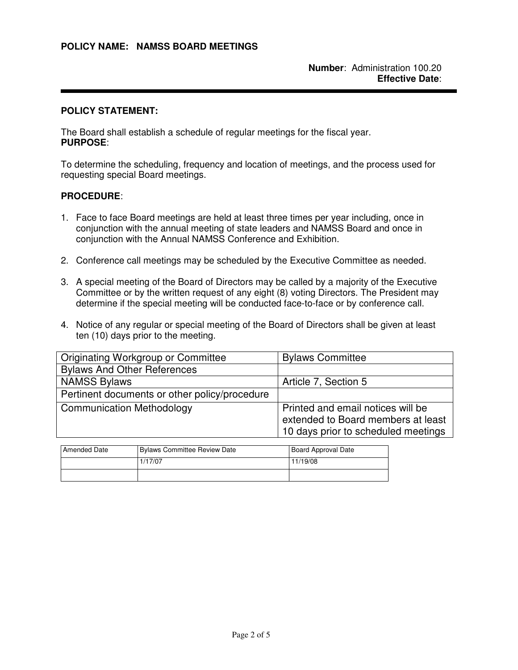#### **POLICY STATEMENT:**

The Board shall establish a schedule of regular meetings for the fiscal year. **PURPOSE**:

To determine the scheduling, frequency and location of meetings, and the process used for requesting special Board meetings.

- 1. Face to face Board meetings are held at least three times per year including, once in conjunction with the annual meeting of state leaders and NAMSS Board and once in conjunction with the Annual NAMSS Conference and Exhibition.
- 2. Conference call meetings may be scheduled by the Executive Committee as needed.
- 3. A special meeting of the Board of Directors may be called by a majority of the Executive Committee or by the written request of any eight (8) voting Directors. The President may determine if the special meeting will be conducted face-to-face or by conference call.
- 4. Notice of any regular or special meeting of the Board of Directors shall be given at least ten (10) days prior to the meeting.

| Originating Workgroup or Committee            | <b>Bylaws Committee</b>                                                                                        |
|-----------------------------------------------|----------------------------------------------------------------------------------------------------------------|
| <b>Bylaws And Other References</b>            |                                                                                                                |
| <b>NAMSS Bylaws</b>                           | Article 7, Section 5                                                                                           |
| Pertinent documents or other policy/procedure |                                                                                                                |
| <b>Communication Methodology</b>              | Printed and email notices will be<br>extended to Board members at least<br>10 days prior to scheduled meetings |

| <b>Amended Date</b> | Bylaws Committee Review Date | Board Approval Date |
|---------------------|------------------------------|---------------------|
|                     | 1/17/07                      | 11/19/08            |
|                     |                              |                     |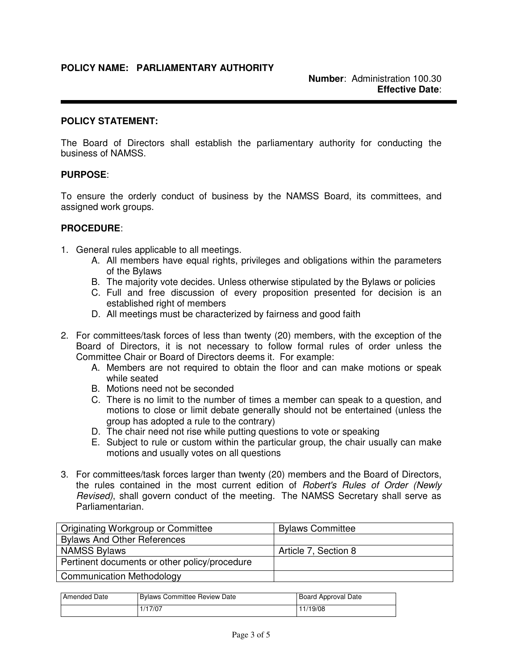# **POLICY NAME: PARLIAMENTARY AUTHORITY**

## **POLICY STATEMENT:**

The Board of Directors shall establish the parliamentary authority for conducting the business of NAMSS.

# **PURPOSE**:

To ensure the orderly conduct of business by the NAMSS Board, its committees, and assigned work groups.

- 1. General rules applicable to all meetings.
	- A. All members have equal rights, privileges and obligations within the parameters of the Bylaws
	- B. The majority vote decides. Unless otherwise stipulated by the Bylaws or policies
	- C. Full and free discussion of every proposition presented for decision is an established right of members
	- D. All meetings must be characterized by fairness and good faith
- 2. For committees/task forces of less than twenty (20) members, with the exception of the Board of Directors, it is not necessary to follow formal rules of order unless the Committee Chair or Board of Directors deems it. For example:
	- A. Members are not required to obtain the floor and can make motions or speak while seated
	- B. Motions need not be seconded
	- C. There is no limit to the number of times a member can speak to a question, and motions to close or limit debate generally should not be entertained (unless the group has adopted a rule to the contrary)
	- D. The chair need not rise while putting questions to vote or speaking
	- E. Subject to rule or custom within the particular group, the chair usually can make motions and usually votes on all questions
- 3. For committees/task forces larger than twenty (20) members and the Board of Directors, the rules contained in the most current edition of *Robert's Rules of Order (Newly* Revised), shall govern conduct of the meeting. The NAMSS Secretary shall serve as Parliamentarian.

| Originating Workgroup or Committee            | <b>Bylaws Committee</b> |
|-----------------------------------------------|-------------------------|
| <b>Bylaws And Other References</b>            |                         |
| <b>NAMSS Bylaws</b>                           | Article 7, Section 8    |
| Pertinent documents or other policy/procedure |                         |
| <b>Communication Methodology</b>              |                         |

| <b>Amended Date</b> | Bylaws Committee Review Date | <b>Board Approval Date</b> |
|---------------------|------------------------------|----------------------------|
|                     | 1/17/07                      | 11/19/08                   |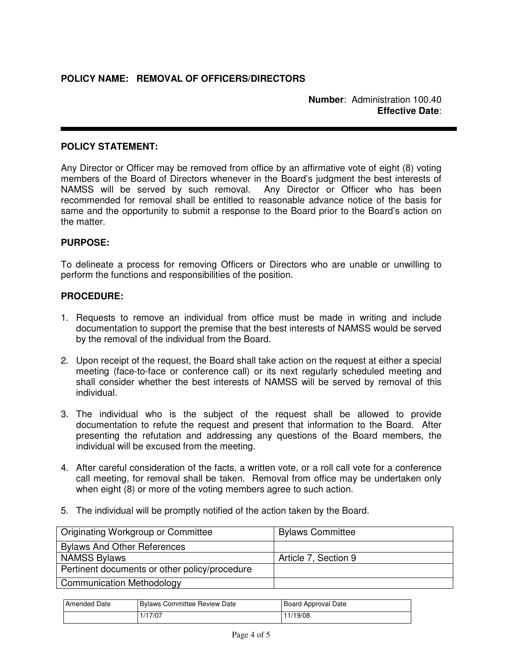# **POLICY STATEMENT:**

Any Director or Officer may be removed from office by an affirmative vote of eight (8) voting members of the Board of Directors whenever in the Board's judgment the best interests of NAMSS will be served by such removal. Any Director or Officer who has been recommended for removal shall be entitled to reasonable advance notice of the basis for same and the opportunity to submit a response to the Board prior to the Board's action on the matter.

# **PURPOSE:**

To delineate a process for removing Officers or Directors who are unable or unwilling to perform the functions and responsibilities of the position.

- 1. Requests to remove an individual from office must be made in writing and include documentation to support the premise that the best interests of NAMSS would be served by the removal of the individual from the Board.
- 2. Upon receipt of the request, the Board shall take action on the request at either a special meeting (face-to-face or conference call) or its next regularly scheduled meeting and shall consider whether the best interests of NAMSS will be served by removal of this individual.
- 3. The individual who is the subject of the request shall be allowed to provide documentation to refute the request and present that information to the Board. After presenting the refutation and addressing any questions of the Board members, the individual will be excused from the meeting.
- 4. After careful consideration of the facts, a written vote, or a roll call vote for a conference call meeting, for removal shall be taken. Removal from office may be undertaken only when eight (8) or more of the voting members agree to such action.
- 5. The individual will be promptly notified of the action taken by the Board.

| Originating Workgroup or Committee            | <b>Bylaws Committee</b> |
|-----------------------------------------------|-------------------------|
| <b>Bylaws And Other References</b>            |                         |
| <b>NAMSS Bylaws</b>                           | Article 7, Section 9    |
| Pertinent documents or other policy/procedure |                         |
| <b>Communication Methodology</b>              |                         |

| <b>I</b> Amended Date | Bylaws Committee Review Date | Board Approval Date |
|-----------------------|------------------------------|---------------------|
|                       | /17/07                       | ! 1/19/08           |